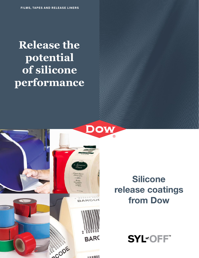# **Release the potential of silicone performance**

Dow

53333353 BARCOD

**BARC** 

 $\overline{u}$  as an ALA  $\overline{u}$ 

**ACODE** 

100



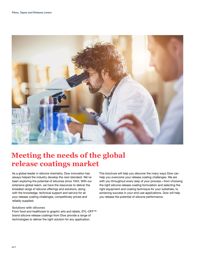

# **Meeting the needs of the global release coatings market**

As a global leader in silicone chemistry, Dow innovation has always helped the industry develop the next standard. We've been exploring the potential of silicones since 1943. With our extensive global reach, we have the resources to deliver the broadest range of silicone offerings and solutions, along with the knowledge, technical support and service for all your release coating challenges, competitively priced and reliably supplied.

#### **Solutions with silicones**

From food and healthcare to graphic arts and labels, SYL-OFF™ brand silicone release coatings from Dow provide a range of technologies to deliver the right solution for any application.

This brochure will help you discover the many ways Dow can help you overcome your release coating challenges. We are with you throughout every step of your process—from choosing the right silicone release coating formulation and selecting the right equipment and coating technique for your substrate, to achieving success in your end-use applications. Dow will help you release the potential of silicone performance.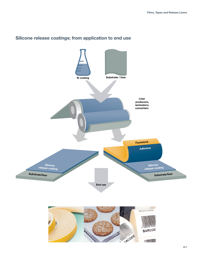

### **Silicone release coatings: from application to end use**

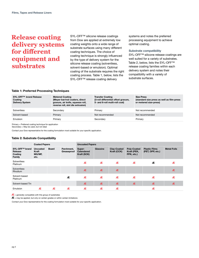### **Release coating delivery systems for different equipment and substrates**

SYL-OFF™ silicone release coatings from Dow are applied at extremely low coating weights onto a wide range of substrate surfaces using many different coating techniques. The choice of coating technique is strongly influenced by the type of delivery system for the silicone release coating (solventless, solvent-based or emulsion). Optimal coating of the substrate requires the right coating process. Table 1, below, lists the SYL-OFF<sup>™</sup> release coating delivery

systems and notes the preferred processing equipment to achieve optimal coating.

#### **Substrate compatibility**

SYL-OFF<sup>™</sup> silicone release coatings are well suited for a variety of substrates. Table 2, below, lists the SYL-OFF<sup>™</sup> release coating families within each delivery system and notes their compatibility with a variety of substrate surfaces.

#### **Table 1: Preferred Processing Techniques**

| SYL-OFF™ brand Release<br>Coating<br><b>Delivery System</b> | <b>Metered Coating</b><br>(Meyer bar/rod coaters, direct<br>gravure, air knife, squeeze roll,<br>reverse roll, slot die extrusion) | <b>Transfer Coating</b><br>(3-roll differential offset gravure,<br>5- and 6-roll multi-roll coat) | <b>Size Press</b><br>(standard size press as well as film-press<br>or metered size-press) |
|-------------------------------------------------------------|------------------------------------------------------------------------------------------------------------------------------------|---------------------------------------------------------------------------------------------------|-------------------------------------------------------------------------------------------|
| Solventless                                                 | Secondary                                                                                                                          | Primary                                                                                           | Not recommended                                                                           |
| Solvent-based                                               | Primary                                                                                                                            | Not recommended                                                                                   | Not recommended                                                                           |
| Emulsion                                                    | Primary                                                                                                                            | Secondary                                                                                         | Primary                                                                                   |

Primary = Preferred coating technique for application

Secondary = May be used, but not ideal

Contact your Dow representative for the coating formulation most suitable for your specific application.

#### **Table 2: Substrate Compatibility**

|                                                | <b>Coated Papers</b>                       |              | <b>Uncoated Papers</b>    |                                     |          |                                   |                                          |                                          |                    |
|------------------------------------------------|--------------------------------------------|--------------|---------------------------|-------------------------------------|----------|-----------------------------------|------------------------------------------|------------------------------------------|--------------------|
| SYL-OFF™ brand<br>Release<br>Coating<br>Family | <b>Uncoated</b><br>Kraft<br>MG/MF,<br>etc. | <b>Board</b> | Parchment,<br>Greaseproof | Super-<br>Calendered<br>Kraft (SCK) | Glassine | <b>Clay-Coated</b><br>Kraft (CCK) | Poly-Coated<br>Kraft (PEK,<br>PPK, etc.) | <b>Plastic Films</b><br>(PET, OPP, etc.) | <b>Metal Foils</b> |
| Solventless<br>Platinum                        |                                            |              |                           | Æ                                   | Æ        | Æ                                 | Æ                                        | Æ                                        | Æ                  |
| Solventless<br><b>Rhodium</b>                  |                                            |              |                           | Æ                                   | Æ        | Æ                                 |                                          |                                          | Æ                  |
| Solvent-based<br>Platinum                      |                                            |              | Æ                         | Æ                                   | Æ        | Æ                                 | Æ                                        | Æ                                        | Æ                  |
| Solvent-based Tin                              |                                            |              |                           | Æ                                   | Æ        | Æ                                 | Æ                                        | Æ                                        | Æ                  |
| Emulsion                                       | Æ                                          | Æ            | Æ                         | Æ                                   | Æ        | Æ                                 |                                          | Æ                                        |                    |

 $AE$  = generally compatible with this group of substrates

 $\mathbf{A}$  = may be applied, but only on certain grades or within certain limitations

Contact your Dow representative for the coating formulation most suitable for your specific application.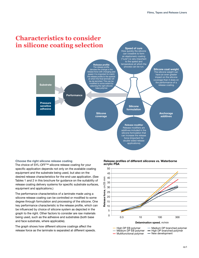

#### **Choose the right silicone release coating**

The choice of SYL-OFF™ silicone release coating for your specific application depends not only on the available coating equipment and the substrate being used, but also on the desired release characteristics for the end-use application. (See Tables 1 and 2 in this brochure for guidance on the suitability of release coating delivery systems for specific substrate surfaces, equipment and applications.)

The performance characteristics of a laminate made using a silicone release coating can be controlled or modified to some degree through formulation and processing of the silicone. One key performance characteristic is the release profile, which can be influenced by choice of silicone system as depicted in the graph to the right. Other factors to consider are raw materials being used, such as the adhesive and substrates (both base and face substrate, where applicable).

The graph shows how different silicone coatings affect the release force as the laminate is separated at different speeds.



**Release profiles of different silicones vs. Waterborne**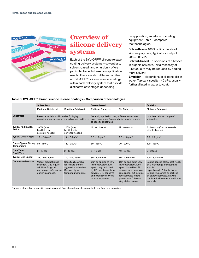

### **Overview of silicone delivery systems**

Each of the SYL-OFF™ silicone release coating delivery systems – solventless, solvent-based, and emulsion – offers particular benefits based on application needs. There are also different families of SYL-OFF™ silicone release coatings within each delivery system that provide distinctive advantages depending

on application, substrate or coating equipment. Table 3 compares the technologies.

**Solventless** – 100% solids blends of silicone polymers, typical viscosity of 200 – 800 cPs.

**Solvent-based** – dispersions of silicones in organic solvents. Initial viscosity of  $~140,000$  cPs may be reduced by adding more solvent.

**Emulsion** – dispersions of silicone oils in water. Typical viscosity ~40 cPs; usually further diluted in water to coat.

#### **Table 3: SYL-OFF™ brand silicone release coatings – Comparison of technologies**

|                                      | <b>Solventless</b>                                                                                                   |                                                                                                                  | Solvent-based                                                                                                                                                             |                                                                                                                                                                                                           | <b>Emulsion</b>                                                                                                                                                                                                                     |  |
|--------------------------------------|----------------------------------------------------------------------------------------------------------------------|------------------------------------------------------------------------------------------------------------------|---------------------------------------------------------------------------------------------------------------------------------------------------------------------------|-----------------------------------------------------------------------------------------------------------------------------------------------------------------------------------------------------------|-------------------------------------------------------------------------------------------------------------------------------------------------------------------------------------------------------------------------------------|--|
|                                      | <b>Platinum Catalyzed</b>                                                                                            | <b>Rhodium Catalyzed</b>                                                                                         | <b>Platinum Catalyzed</b>                                                                                                                                                 | <b>Tin Catalyzed</b>                                                                                                                                                                                      | <b>Platinum Catalyzed</b>                                                                                                                                                                                                           |  |
| <b>Substrates</b>                    | Least versatile but still suitable for highly<br>calendered papers, some coated papers and films.                    |                                                                                                                  | Generally applied to many different substrates,<br>good anchorage. Solvent choice may be adapted<br>to specific substrates.                                               | Usable on a broad range of<br>substrates.                                                                                                                                                                 |                                                                                                                                                                                                                                     |  |
| <b>Typical Application</b><br>Solids | 100% (may<br>be diluted in<br>solvent if needed)                                                                     | 100% (may<br>be diluted in<br>solvent if needed)                                                                 | Up to 12 wt %                                                                                                                                                             | Up to 6 wt %                                                                                                                                                                                              | 5 - 20 wt % (Can be extended<br>with thickeners)                                                                                                                                                                                    |  |
| <b>Typical Coat Weight</b>           | $1.0 - 2.0$ g/m <sup>2</sup>                                                                                         | $1.0 - 2.0$ g/m <sup>2</sup>                                                                                     | $0.5 - 1.3$ g/m <sup>2</sup>                                                                                                                                              | $0.5 - 1.3$ g/m <sup>2</sup>                                                                                                                                                                              | $0.5 - 1.1$ g/m <sup>2</sup>                                                                                                                                                                                                        |  |
| Cure – Typical Curing<br>Temperature | $80 - 180^{\circ}$ C                                                                                                 | 140 - 200°C                                                                                                      | $80 - 180^{\circ}$ C                                                                                                                                                      | $70 - 200^{\circ}$ C                                                                                                                                                                                      | $100 - 180^{\circ}$ C                                                                                                                                                                                                               |  |
| Cure Time/<br><b>Dwell Time</b>      | $2 - 10$ sec                                                                                                         | $2 - 10$ sec                                                                                                     | $5 - 10$ sec                                                                                                                                                              | $10 - 20$ sec                                                                                                                                                                                             | $5 - 20$ sec                                                                                                                                                                                                                        |  |
| <b>Typical Line Speed</b>            | 100 - 800 m/min                                                                                                      | 100 - 400 m/min                                                                                                  | $50 - 300$ m/min                                                                                                                                                          | $50 - 200$ m/min                                                                                                                                                                                          | 100 - 600 m/min                                                                                                                                                                                                                     |  |
| <b>Comments/Features</b>             | Widest product range<br>selection. May require<br>additives for good<br>anchorage performance<br>on filmic surfaces. | Specifically suitable<br>for release of most<br>aggressive adhesives.<br>Require higher<br>temperatures to cure. | Can be applied at very<br>low coat weight. Line<br>speed may be limited<br>by LEL requirements for<br>solvent. EHS concerns<br>and expensive solvent<br>recovery systems. | Can be applied at very<br>low coat weight. Line<br>speed limited by LEL<br>requirements. Very slow<br>cure speed, but suitable<br>for substrates where<br>platinum can't be used.<br>Very stable release. | Can be applied at low coat weight<br>on a wide range of substrates<br>(mainly<br>paper-based). Potential issues<br>for buckling/curling or cockling<br>on paper substrates. May be<br>combined with some non-silicone<br>materials. |  |

For more information or specific questions about Dow chemistries, please contact your Dow representative.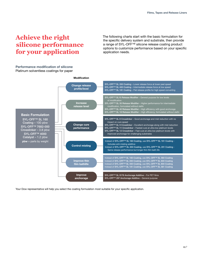## **Achieve the right silicone performance for your application**

**Performance modification of silicone**  Platinum solventless coatings for paper The following charts start with the basic formulation for the specific delivery system and substrate, then provide a range of SYL-OFF™ silicone release coating product options to customize performance based on your specific application needs.

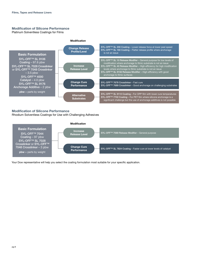#### **Modification of Silicone Performance**

Platinum Solventless Coatings for Films



#### **Modification of Silicone Performance**

Rhodium Solventless Coatings for Use with Challenging Adhesives

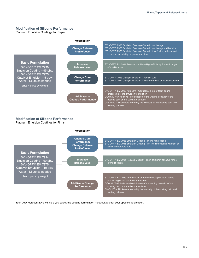#### **Modification of Silicone Performance**

Platinum Emulsion Coatings for Paper



#### **Modification of Silicone Performance** Platinum Emulsion Coatings for Films

#### **Modification** SYL-OFF™ EM 7935 Emulsion Coating – In-line film coating SYL-OFF™ EM 7945 Emulsion Coating – Off-line film coating with fast or lower temperature cure SYL-OFF<sup>™</sup> EM 7931 Release Modifier – High-efficiency for a full range of modification SYL-OFF™ EM 7989 Antifoam – Control the build-up of foam during processing of the emulsion formulation DOWSIL™ 67 Additive – Modification of the wetting behavior of the coating bath on the substrate surface CMC/HEC – Thickeners to modify the viscosity of the coating bath and wetting behavior **Change Cure Performance Change Release Profile/Level Increase Release Level Additive to Change Performance Basic Formulation** SYL-OFF<sup>™</sup> EM 7934 Emulsion Coating – 90 pbw SYL-OFF™ EM 7975 Catalyst Emulsion – 10 pbw Water – Dilute as needed **pbw** = parts by weight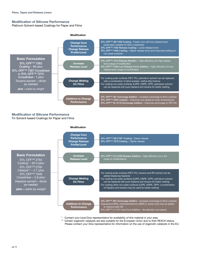#### **Modification of Silicone Performance**

Platinum Solvent-based Coatings for Paper and Films



#### **Modification of Silicone Performance**

Tin Solvent-based Coatings for Paper and Films



- \* Contact your local Dow representative for availability of this material in your area
- \*\* Certain organotin catalysts are less suitable for the European Union due to their REACH status. Please contact your Dow representative for information on the use of organotin catalysts in the EU.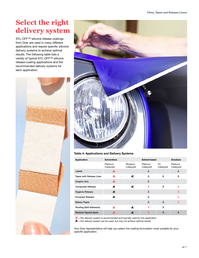# **Select the right delivery system**

SYL-OFF™ silicone release coatings from Dow are used in many different applications and require specific silicone delivery systems to achieve optimal results. The following table lists a variety of typical SYL-OFF™ silicone release coating applications and the recommended delivery systems for each application.





#### **Table 4: Applications and Delivery Systems**

| <b>Application</b>          | <b>Solventless</b>    |                      | Solvent-based         | <b>Emulsion</b>  |                       |
|-----------------------------|-----------------------|----------------------|-----------------------|------------------|-----------------------|
|                             | Platinum<br>Catalyzed | Rhodium<br>Catalyzed | Platinum<br>Catalyzed | Tin<br>Catalyzed | Platinum<br>Catalyzed |
| Labels                      | Æ                     |                      | Ä                     |                  | Ä                     |
| Tapes with Release Liner    | Æ                     | Æ                    | Ä                     | Ä                | Ä                     |
| <b>Graphic Arts</b>         | Æ                     |                      | Ä                     |                  |                       |
| <b>Composite Release</b>    | Æ                     | Æ                    | Ä                     | Ä                | Ä                     |
| <b>Hygiene Release</b>      | Æ                     |                      | Ä                     |                  | Ä                     |
| <b>Envelope Release</b>     | Æ                     |                      | Ä                     |                  | Ä                     |
| <b>Bakery Paper</b>         |                       |                      | Ä                     | Ä                | Ä                     |
| Roofing (Self-Adhesive)     | Æ                     | Æ                    | Ä                     | Ä                |                       |
| <b>Medical Tapes/Labels</b> | Æ                     | Æ                    | Ä                     | Ä                | Ä                     |

 $AE$  = this delivery system is recommended and typically used for this application

 $AE$  = this delivery system can be used, but may not achieve optimal results